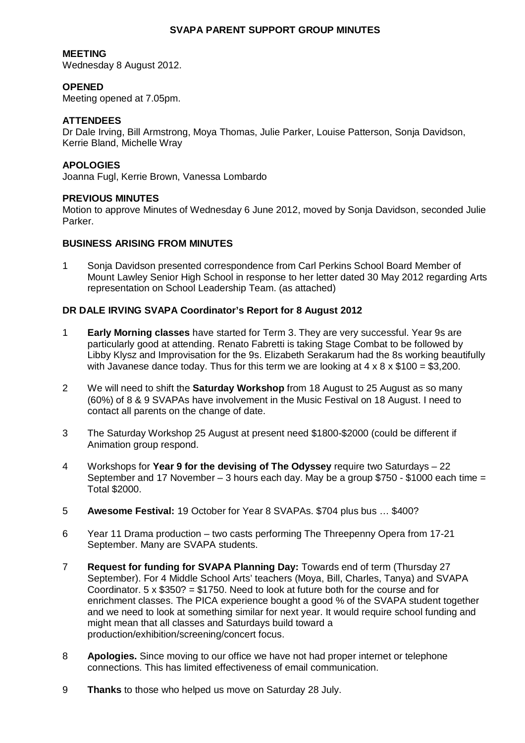## **SVAPA PARENT SUPPORT GROUP MINUTES**

### **MEETING**

Wednesday 8 August 2012.

### **OPENED**

Meeting opened at 7.05pm.

## **ATTENDEES**

Dr Dale Irving, Bill Armstrong, Moya Thomas, Julie Parker, Louise Patterson, Sonja Davidson, Kerrie Bland, Michelle Wray

### **APOLOGIES**

Joanna Fugl, Kerrie Brown, Vanessa Lombardo

#### **PREVIOUS MINUTES**

Motion to approve Minutes of Wednesday 6 June 2012, moved by Sonja Davidson, seconded Julie Parker.

#### **BUSINESS ARISING FROM MINUTES**

1 Sonja Davidson presented correspondence from Carl Perkins School Board Member of Mount Lawley Senior High School in response to her letter dated 30 May 2012 regarding Arts representation on School Leadership Team. (as attached)

#### **DR DALE IRVING SVAPA Coordinator's Report for 8 August 2012**

- 1 **Early Morning classes** have started for Term 3. They are very successful. Year 9s are particularly good at attending. Renato Fabretti is taking Stage Combat to be followed by Libby Klysz and Improvisation for the 9s. Elizabeth Serakarum had the 8s working beautifully with Javanese dance today. Thus for this term we are looking at  $4 \times 8 \times \$100 = \$3,200$ .
- 2 We will need to shift the **Saturday Workshop** from 18 August to 25 August as so many (60%) of 8 & 9 SVAPAs have involvement in the Music Festival on 18 August. I need to contact all parents on the change of date.
- 3 The Saturday Workshop 25 August at present need \$1800-\$2000 (could be different if Animation group respond.
- 4 Workshops for **Year 9 for the devising of The Odyssey** require two Saturdays 22 September and 17 November – 3 hours each day. May be a group \$750 - \$1000 each time = Total \$2000.
- 5 **Awesome Festival:** 19 October for Year 8 SVAPAs. \$704 plus bus … \$400?
- 6 Year 11 Drama production two casts performing The Threepenny Opera from 17-21 September. Many are SVAPA students.
- 7 **Request for funding for SVAPA Planning Day:** Towards end of term (Thursday 27 September). For 4 Middle School Arts' teachers (Moya, Bill, Charles, Tanya) and SVAPA Coordinator. 5  $\times$  \$350? = \$1750. Need to look at future both for the course and for enrichment classes. The PICA experience bought a good % of the SVAPA student together and we need to look at something similar for next year. It would require school funding and might mean that all classes and Saturdays build toward a production/exhibition/screening/concert focus.
- 8 **Apologies.** Since moving to our office we have not had proper internet or telephone connections. This has limited effectiveness of email communication.
- 9 **Thanks** to those who helped us move on Saturday 28 July.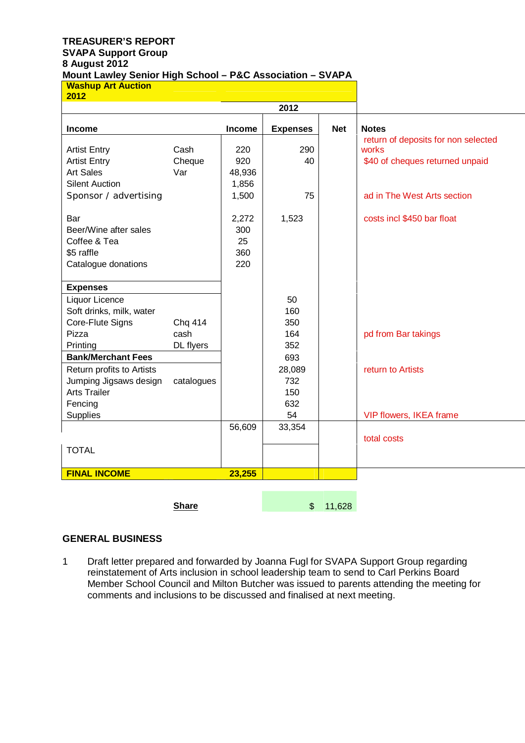# **TREASURER'S REPORT SVAPA Support Group 8 August 2012 Mount Lawley Senior High School – P&C Association – SVAPA**

#### **Washup Art Auction 2012**

|                           |            | 2012   |                 |            |                                     |
|---------------------------|------------|--------|-----------------|------------|-------------------------------------|
| Income                    |            | Income | <b>Expenses</b> | <b>Net</b> | <b>Notes</b>                        |
|                           |            |        |                 |            | return of deposits for non selected |
| <b>Artist Entry</b>       | Cash       | 220    | 290             |            | works                               |
| <b>Artist Entry</b>       | Cheque     | 920    | 40              |            | \$40 of cheques returned unpaid     |
| <b>Art Sales</b>          | Var        | 48,936 |                 |            |                                     |
| <b>Silent Auction</b>     |            | 1,856  |                 |            |                                     |
| Sponsor / advertising     |            | 1,500  | 75              |            | ad in The West Arts section         |
| Bar                       |            | 2,272  | 1,523           |            | costs incl \$450 bar float          |
| Beer/Wine after sales     |            | 300    |                 |            |                                     |
| Coffee & Tea              |            | 25     |                 |            |                                     |
| \$5 raffle                |            | 360    |                 |            |                                     |
| Catalogue donations       |            | 220    |                 |            |                                     |
| <b>Expenses</b>           |            |        |                 |            |                                     |
| Liquor Licence            |            |        | 50              |            |                                     |
| Soft drinks, milk, water  |            |        | 160             |            |                                     |
| Core-Flute Signs          | Chq 414    |        | 350             |            |                                     |
| Pizza                     | cash       |        | 164             |            | pd from Bar takings                 |
| Printing                  | DL flyers  |        | 352             |            |                                     |
| <b>Bank/Merchant Fees</b> |            |        | 693             |            |                                     |
| Return profits to Artists |            |        | 28,089          |            | return to Artists                   |
| Jumping Jigsaws design    | catalogues |        | 732             |            |                                     |
| <b>Arts Trailer</b>       |            |        | 150             |            |                                     |
| Fencing                   |            |        | 632             |            |                                     |
| Supplies                  |            |        | 54              |            | VIP flowers, IKEA frame             |
|                           |            | 56,609 | 33,354          |            |                                     |
| <b>TOTAL</b>              |            |        |                 |            | total costs                         |
| <b>FINAL INCOME</b>       |            | 23,255 |                 |            |                                     |

**Share** \$ 11,628

# **GENERAL BUSINESS**

1 Draft letter prepared and forwarded by Joanna Fugl for SVAPA Support Group regarding reinstatement of Arts inclusion in school leadership team to send to Carl Perkins Board Member School Council and Milton Butcher was issued to parents attending the meeting for comments and inclusions to be discussed and finalised at next meeting.